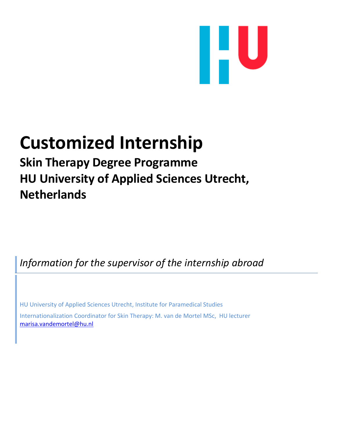

# **Customized Internship**

**Skin Therapy Degree Programme HU University of Applied Sciences Utrecht, Netherlands**

*Information for the supervisor of the internship abroad*

HU University of Applied Sciences Utrecht, Institute for Paramedical Studies

Internationalization Coordinator for Skin Therapy: M. van de Mortel MSc, HU lecturer [marisa.vandemortel@hu.nl](mailto:marisa.vandemortel@hu.nl)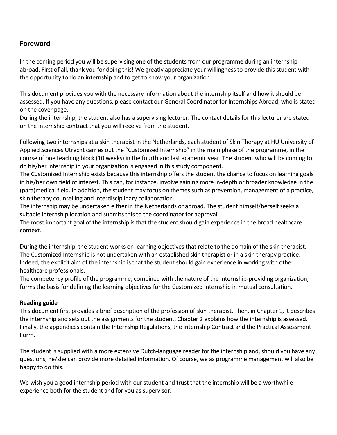## **Foreword**

In the coming period you will be supervising one of the students from our programme during an internship abroad. First of all, thank you for doing this! We greatly appreciate your willingness to provide this student with the opportunity to do an internship and to get to know your organization.

This document provides you with the necessary information about the internship itself and how it should be assessed. If you have any questions, please contact our General Coordinator for Internships Abroad, who is stated on the cover page.

During the internship, the student also has a supervising lecturer. The contact details for this lecturer are stated on the internship contract that you will receive from the student.

Following two internships at a skin therapist in the Netherlands, each student of Skin Therapy at HU University of Applied Sciences Utrecht carries out the "Customized Internship" in the main phase of the programme, in the course of one teaching block (10 weeks) in the fourth and last academic year. The student who will be coming to do his/her internship in your organization is engaged in this study component.

The Customized Internship exists because this internship offers the student the chance to focus on learning goals in his/her own field of interest. This can, for instance, involve gaining more in-depth or broader knowledge in the (para)medical field. In addition, the student may focus on themes such as prevention, management of a practice, skin therapy counselling and interdisciplinary collaboration.

The internship may be undertaken either in the Netherlands or abroad. The student himself/herself seeks a suitable internship location and submits this to the coordinator for approval.

The most important goal of the internship is that the student should gain experience in the broad healthcare context.

During the internship, the student works on learning objectives that relate to the domain of the skin therapist. The Customized Internship is not undertaken with an established skin therapist or in a skin therapy practice. Indeed, the explicit aim of the internship is that the student should gain experience in working with other healthcare professionals.

The competency profile of the programme, combined with the nature of the internship-providing organization, forms the basis for defining the learning objectives for the Customized Internship in mutual consultation.

## **Reading guide**

This document first provides a brief description of the profession of skin therapist. Then, in Chapter 1, it describes the internship and sets out the assignments for the student. Chapter 2 explains how the internship is assessed. Finally, the appendices contain the Internship Regulations, the Internship Contract and the Practical Assessment Form.

The student is supplied with a more extensive Dutch-language reader for the internship and, should you have any questions, he/she can provide more detailed information. Of course, we as programme management will also be happy to do this.

We wish you a good internship period with our student and trust that the internship will be a worthwhile experience both for the student and for you as supervisor.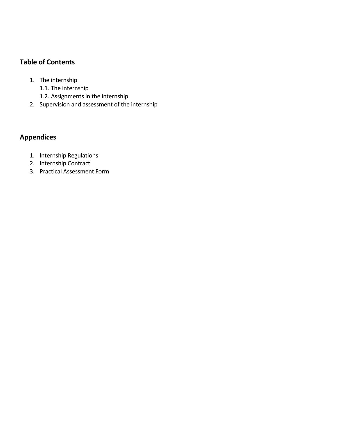# **Table of Contents**

- 1. The internship
	- 1.1. The internship
	- 1.2. Assignments in the internship
- 2. Supervision and assessment of the internship

# **Appendices**

- 1. Internship Regulations
- 2. Internship Contract
- 3. Practical Assessment Form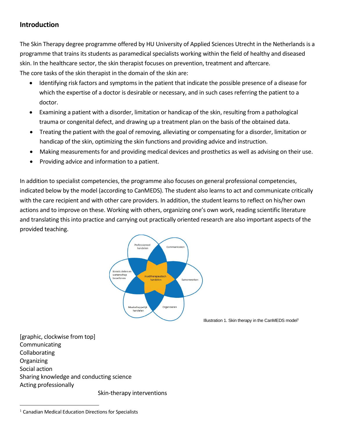## **Introduction**

The Skin Therapy degree programme offered by HU University of Applied Sciences Utrecht in the Netherlands is a programme that trains its students as paramedical specialists working within the field of healthy and diseased skin. In the healthcare sector, the skin therapist focuses on prevention, treatment and aftercare. The core tasks of the skin therapist in the domain of the skin are:

- Identifying risk factors and symptoms in the patient that indicate the possible presence of a disease for which the expertise of a doctor is desirable or necessary, and in such cases referring the patient to a doctor.
- Examining a patient with a disorder, limitation or handicap of the skin, resulting from a pathological trauma or congenital defect, and drawing up a treatment plan on the basis of the obtained data.
- Treating the patient with the goal of removing, alleviating or compensating for a disorder, limitation or handicap of the skin, optimizing the skin functions and providing advice and instruction.
- Making measurements for and providing medical devices and prosthetics as well as advising on their use.
- Providing advice and information to a patient.

In addition to specialist competencies, the programme also focuses on general professional competencies, indicated below by the model (according to CanMEDS). The student also learns to act and communicate critically with the care recipient and with other care providers. In addition, the student learns to reflect on his/her own actions and to improve on these. Working with others, organizing one's own work, reading scientific literature and translating this into practice and carrying out practically oriented research are also important aspects of the provided teaching.



Illustration 1. Skin therapy in the CanMEDS model<sup>1</sup>

[graphic, clockwise from top] **Communicating** Collaborating **Organizing** Social action Sharing knowledge and conducting science Acting professionally

Skin-therapy interventions

 $\overline{a}$ 

<sup>&</sup>lt;sup>1</sup> Canadian Medical Education Directions for Specialists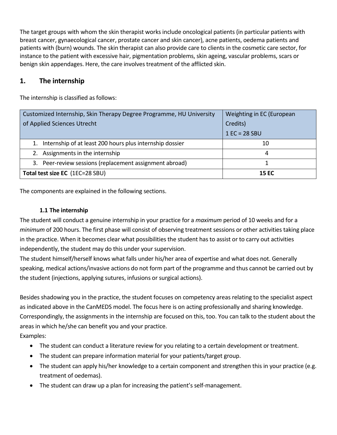The target groups with whom the skin therapist works include oncological patients (in particular patients with breast cancer, gynaecological cancer, prostate cancer and skin cancer), acne patients, oedema patients and patients with (burn) wounds. The skin therapist can also provide care to clients in the cosmetic care sector, for instance to the patient with excessive hair, pigmentation problems, skin ageing, vascular problems, scars or benign skin appendages. Here, the care involves treatment of the afflicted skin.

## **1. The internship**

The internship is classified as follows:

| Customized Internship, Skin Therapy Degree Programme, HU University | Weighting in EC (European |
|---------------------------------------------------------------------|---------------------------|
| of Applied Sciences Utrecht                                         | Credits)                  |
|                                                                     | $1 EC = 28 SBU$           |
| 1. Internship of at least 200 hours plus internship dossier         | 10                        |
| 2. Assignments in the internship                                    | 4                         |
| 3. Peer-review sessions (replacement assignment abroad)             |                           |
| Total test size EC (1EC=28 SBU)                                     | <b>15 EC</b>              |

The components are explained in the following sections.

## **1.1 The internship**

The student will conduct a genuine internship in your practice for a *maximum* period of 10 weeks and for a *minimum* of 200 hours. The first phase will consist of observing treatment sessions or other activities taking place in the practice. When it becomes clear what possibilities the student has to assist or to carry out activities independently, the student may do this under your supervision.

The student himself/herself knows what falls under his/her area of expertise and what does not. Generally speaking, medical actions/invasive actions do not form part of the programme and thus cannot be carried out by the student (injections, applying sutures, infusions or surgical actions).

Besides shadowing you in the practice, the student focuses on competency areas relating to the specialist aspect as indicated above in the CanMEDS model. The focus here is on acting professionally and sharing knowledge. Correspondingly, the assignments in the internship are focused on this, too. You can talk to the student about the areas in which he/she can benefit you and your practice.

Examples:

- The student can conduct a literature review for you relating to a certain development or treatment.
- The student can prepare information material for your patients/target group.
- The student can apply his/her knowledge to a certain component and strengthen this in your practice (e.g. treatment of oedemas).
- The student can draw up a plan for increasing the patient's self-management.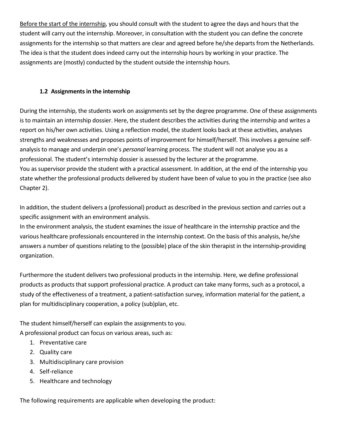Before the start of the internship, you should consult with the student to agree the days and hours that the student will carry out the internship. Moreover, in consultation with the student you can define the concrete assignments for the internship so that matters are clear and agreed before he/she departs from the Netherlands. The idea is that the student does indeed carry out the internship hours by working in your practice. The assignments are (mostly) conducted by the student outside the internship hours.

## **1.2 Assignmentsin the internship**

During the internship, the students work on assignments set by the degree programme. One of these assignments is to maintain an internship dossier. Here, the student describes the activities during the internship and writes a report on his/her own activities. Using a reflection model, the student looks back at these activities, analyses strengths and weaknesses and proposes points of improvement for himself/herself. This involves a genuine selfanalysis to manage and underpin one's *personal* learning process. The student will not analyse you as a professional. The student's internship dossier is assessed by the lecturer at the programme. You as supervisor provide the student with a practical assessment. In addition, at the end of the internship you state whether the professional products delivered by student have been of value to you in the practice (see also Chapter 2).

In addition, the student delivers a (professional) product as described in the previous section and carries out a specific assignment with an environment analysis.

In the environment analysis, the student examines the issue of healthcare in the internship practice and the various healthcare professionals encountered in the internship context. On the basis of this analysis, he/she answers a number of questions relating to the (possible) place of the skin therapist in the internship-providing organization.

Furthermore the student delivers two professional products in the internship. Here, we define professional products as products that support professional practice. A product can take many forms, such as a protocol, a study of the effectiveness of a treatment, a patient-satisfaction survey, information material for the patient, a plan for multidisciplinary cooperation, a policy (sub)plan, etc.

The student himself/herself can explain the assignments to you. A professional product can focus on various areas, such as:

- 1. Preventative care
- 2. Quality care
- 3. Multidisciplinary care provision
- 4. Self-reliance
- 5. Healthcare and technology

The following requirements are applicable when developing the product: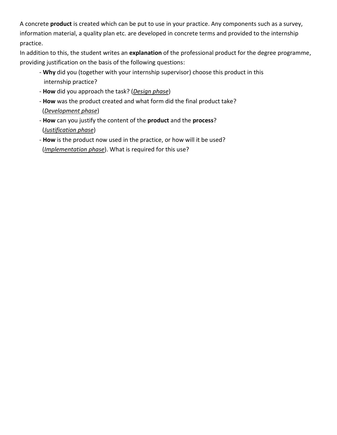A concrete **product** is created which can be put to use in your practice. Any components such as a survey, information material, a quality plan etc. are developed in concrete terms and provided to the internship practice.

In addition to this, the student writes an **explanation** of the professional product for the degree programme, providing justification on the basis of the following questions:

- **Why** did you (together with your internship supervisor) choose this product in this internship practice?
- **How** did you approach the task? (*Design phase*)
- **How** was the product created and what form did the final product take? (*Development phase*)
- **How** can you justify the content of the **product** and the **process**? (*Justification phase*)
- **How** is the product now used in the practice, or how will it be used? (*Implementation phase*). What is required for this use?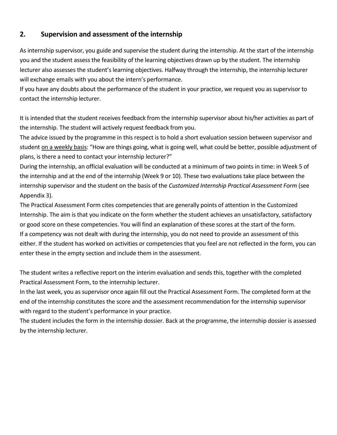## **2. Supervision and assessment of the internship**

As internship supervisor, you guide and supervise the student during the internship. At the start of the internship you and the student assess the feasibility of the learning objectives drawn up by the student. The internship lecturer also assesses the student's learning objectives. Halfway through the internship, the internship lecturer will exchange emails with you about the intern's performance.

If you have any doubts about the performance of the student in your practice, we request you as supervisor to contact the internship lecturer.

It is intended that the student receives feedback from the internship supervisor about his/her activities as part of the internship. The student will actively request feedback from you.

The advice issued by the programme in this respect is to hold a short evaluation session between supervisor and student on a weekly basis: "How are things going, what is going well, what could be better, possible adjustment of plans, is there a need to contact your internship lecturer?"

During the internship, an official evaluation will be conducted at a minimum of two points in time: in Week 5 of the internship and at the end of the internship (Week 9 or 10). These two evaluations take place between the internship supervisor and the student on the basis of the *Customized Internship Practical Assessment Form* (see Appendix 3).

The Practical Assessment Form cites competencies that are generally points of attention in the Customized Internship. The aim is that you indicate on the form whether the student achieves an unsatisfactory, satisfactory or good score on these competencies. You will find an explanation of these scores at the start of the form. If a competency was not dealt with during the internship, you do not need to provide an assessment of this either. If the student has worked on activities or competencies that you feel are not reflected in the form, you can enter these in the empty section and include them in the assessment.

The student writes a reflective report on the interim evaluation and sends this, together with the completed Practical Assessment Form, to the internship lecturer.

In the last week, you as supervisor once again fill out the Practical Assessment Form. The completed form at the end of the internship constitutes the score and the assessment recommendation for the internship supervisor with regard to the student's performance in your practice.

The student includes the form in the internship dossier. Back at the programme, the internship dossier is assessed by the internship lecturer.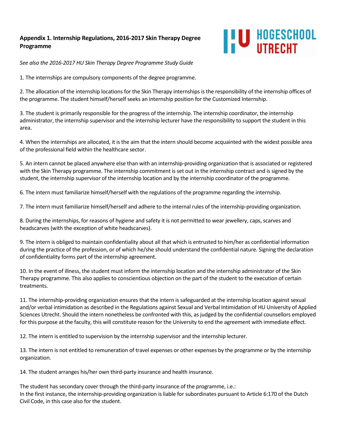## **Appendix 1. Internship Regulations, 2016-2017 Skin Therapy Degree Programme**



*See also the 2016-2017 HU Skin Therapy Degree Programme Study Guide* 

1. The internships are compulsory components of the degree programme.

2. The allocation of the internship locations for the Skin Therapy internships is the responsibility of the internship offices of the programme. The student himself/herself seeks an internship position for the Customized Internship.

3. The student is primarily responsible for the progress of the internship. The internship coordinator, the internship administrator, the internship supervisor and the internship lecturer have the responsibility to support the student in this area.

4. When the internships are allocated, it is the aim that the intern should become acquainted with the widest possible area of the professional field within the healthcare sector.

5. An intern cannot be placed anywhere else than with an internship-providing organization that is associated or registered with the Skin Therapy programme. The internship commitment is set out in the internship contract and is signed by the student, the internship supervisor of the internship location and by the internship coordinator of the programme.

6. The intern must familiarize himself/herself with the regulations of the programme regarding the internship.

7. The intern must familiarize himself/herself and adhere to the internal rules of the internship-providing organization.

8. During the internships, for reasons of hygiene and safety it is not permitted to wear jewellery, caps, scarves and headscarves (with the exception of white headscarves).

9. The intern is obliged to maintain confidentiality about all that which is entrusted to him/her as confidential information during the practice of the profession, or of which he/she should understand the confidential nature. Signing the declaration of confidentiality forms part of the internship agreement.

10. In the event of illness, the student must inform the internship location and the internship administrator of the Skin Therapy programme. This also applies to conscientious objection on the part of the student to the execution of certain treatments.

11. The internship-providing organization ensures that the intern is safeguarded at the internship location against sexual and/or verbal intimidation as described in the Regulations against Sexual and Verbal Intimidation of HU University of Applied Sciences Utrecht. Should the intern nonetheless be confronted with this, as judged by the confidential counsellors employed for this purpose at the faculty, this will constitute reason for the University to end the agreement with immediate effect.

12. The intern is entitled to supervision by the internship supervisor and the internship lecturer.

13. The intern is not entitled to remuneration of travel expenses or other expenses by the programme or by the internship organization.

14. The student arranges his/her own third-party insurance and health insurance.

The student has secondary cover through the third-party insurance of the programme, i.e.: In the first instance, the internship-providing organization is liable for subordinates pursuant to Article 6:170 of the Dutch Civil Code, in this case also for the student.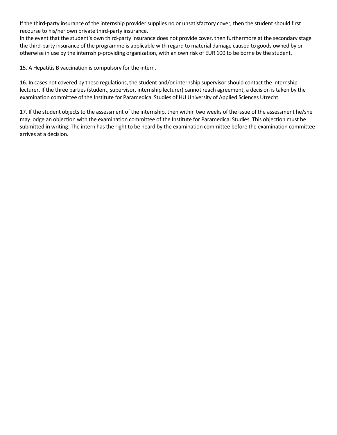If the third-party insurance of the internship provider supplies no or unsatisfactory cover, then the student should first recourse to his/her own private third-party insurance.

In the event that the student's own third-party insurance does not provide cover, then furthermore at the secondary stage the third-party insurance of the programme is applicable with regard to material damage caused to goods owned by or otherwise in use by the internship-providing organization, with an own risk of EUR 100 to be borne by the student.

15. A Hepatitis B vaccination is compulsory for the intern.

16. In cases not covered by these regulations, the student and/or internship supervisorshould contact the internship lecturer. If the three parties (student, supervisor, internship lecturer) cannot reach agreement, a decision is taken by the examination committee of the Institute for Paramedical Studies of HU University of Applied Sciences Utrecht.

17. If the student objects to the assessment of the internship, then within two weeks of the issue of the assessment he/she may lodge an objection with the examination committee of the Institute for Paramedical Studies. This objection must be submitted in writing. The intern has the right to be heard by the examination committee before the examination committee arrives at a decision.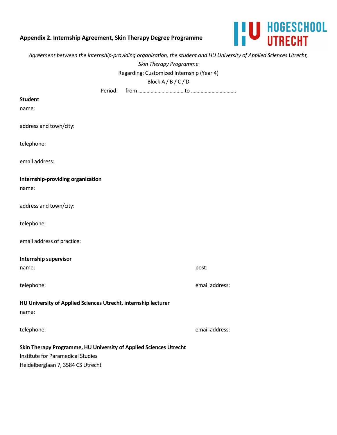## **Appendix 2. Internship Agreement, Skin Therapy Degree Programme**



| Agreement between the internship-providing organization, the student and HU University of Applied Sciences Utrecht, |                |
|---------------------------------------------------------------------------------------------------------------------|----------------|
| Skin Therapy Programme                                                                                              |                |
| Regarding: Customized Internship (Year 4)                                                                           |                |
| Block $A/B/C/D$                                                                                                     |                |
| Period:                                                                                                             |                |
| <b>Student</b>                                                                                                      |                |
| name:                                                                                                               |                |
| address and town/city:                                                                                              |                |
| telephone:                                                                                                          |                |
| email address:                                                                                                      |                |
| Internship-providing organization                                                                                   |                |
| name:                                                                                                               |                |
| address and town/city:                                                                                              |                |
| telephone:                                                                                                          |                |
| email address of practice:                                                                                          |                |
| <b>Internship supervisor</b>                                                                                        |                |
| name:                                                                                                               | post:          |
| telephone:                                                                                                          | email address: |
| HU University of Applied Sciences Utrecht, internship lecturer<br>name:                                             |                |
| telephone:                                                                                                          | email address: |
| Skin Therapy Programme, HU University of Applied Sciences Utrecht                                                   |                |
| Institute for Paramedical Studies                                                                                   |                |
| Heidelberglaan 7, 3584 CS Utrecht                                                                                   |                |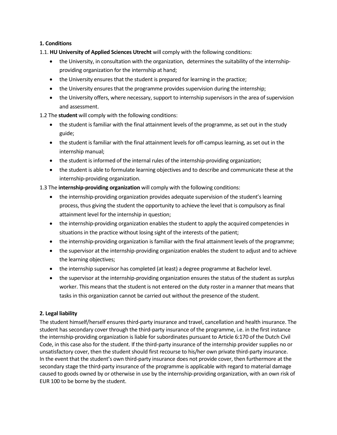#### **1. Conditions**

- 1.1. **HU University of Applied Sciences Utrecht** will comply with the following conditions:
	- the University, in consultation with the organization, determines the suitability of the internshipproviding organization for the internship at hand;
	- the University ensures that the student is prepared for learning in the practice;
	- the University ensures that the programme provides supervision during the internship;
	- the University offers, where necessary, support to internship supervisors in the area of supervision and assessment.

1.2 The **student** will comply with the following conditions:

- the student is familiar with the final attainment levels of the programme, as set out in the study guide;
- the student is familiar with the final attainment levels for off-campus learning, as set out in the internship manual;
- the student is informed of the internal rules of the internship-providing organization;
- the student is able to formulate learning objectives and to describe and communicate these at the internship-providing organization.

1.3 The **internship-providing organization** will comply with the following conditions:

- the internship-providing organization provides adequate supervision of the student's learning process, thus giving the student the opportunity to achieve the level that is compulsory as final attainment level for the internship in question;
- the internship-providing organization enables the student to apply the acquired competencies in situations in the practice without losing sight of the interests of the patient;
- the internship-providing organization is familiar with the final attainment levels of the programme;
- the supervisor at the internship-providing organization enables the student to adjust and to achieve the learning objectives;
- the internship supervisor has completed (at least) a degree programme at Bachelor level.
- the supervisor at the internship-providing organization ensures the status of the student as surplus worker. This means that the student is not entered on the duty roster in a manner that means that tasks in this organization cannot be carried out without the presence of the student.

### **2. Legal liability**

The student himself/herself ensures third-party insurance and travel, cancellation and health insurance. The student has secondary cover through the third-party insurance of the programme, i.e. in the first instance the internship-providing organization is liable for subordinates pursuant to Article 6:170 of the Dutch Civil Code, in this case also for the student. If the third-party insurance of the internship provider supplies no or unsatisfactory cover, then the student should first recourse to his/her own private third-party insurance. In the event that the student's own third-party insurance does not provide cover, then furthermore at the secondary stage the third-party insurance of the programme is applicable with regard to material damage caused to goods owned by or otherwise in use by the internship-providing organization, with an own risk of EUR 100 to be borne by the student.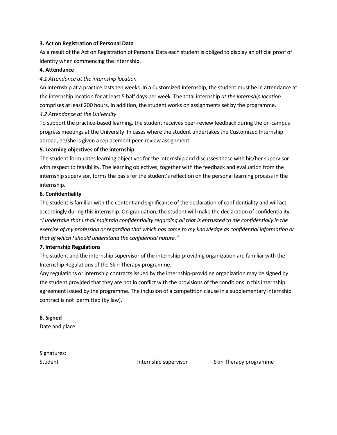#### **3. Act on Registration of Personal Data**

As a result of the Act on Registration of Personal Data each student is obliged to display an official proof of identity when commencing the internship.

#### **4. Attendance**

### *4.1 Attendance at the internship location*

An internship at a practice lasts ten weeks. In a Customized Internship, the student must be in attendance at the internship location for at least 5 half days per week. The total internship *at the internship location* comprises at least 200 hours. In addition, the student works on assignments set by the programme.

#### *4.2 Attendance at the University*

To support the practice-based learning, the student receives peer-review feedback during the on-campus progress meetings at the University. In cases where the student undertakes the Customized Internship abroad, he/she is given a replacement peer-review assignment.

#### **5. Learning objectives of the internship**

The student formulates learning objectives for the internship and discusses these with his/her supervisor with respect to feasibility. The learning objectives, together with the feedback and evaluation from the internship supervisor, forms the basis for the student's reflection on the personal learning process in the internship.

#### **6. Confidentiality**

The student is familiar with the content and significance of the declaration of confidentiality and will act accordingly during this internship. On graduation, the student will make the declaration of confidentiality. *"I undertake that I shall maintain confidentiality regarding all that is entrusted to me confidentially in the exercise of my profession or regarding that which has come to my knowledge as confidential information or that of which I should understand the confidential nature."* 

#### **7. Internship Regulations**

The student and the internship supervisor of the internship-providing organization are familiar with the Internship Regulations of the Skin Therapy programme.

Any regulations or internship contracts issued by the internship-providing organization may be signed by the student provided that they are not in conflict with the provisions of the conditions in this internship agreement issued by the programme. The inclusion of a competition clause in a supplementary internship contract is not permitted (by law).

### **8. Signed**

Date and place:

Signatures:

Student **Internship supervisor** Skin Therapy programme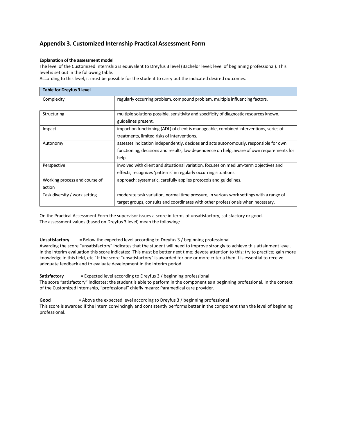### **Appendix 3. Customized Internship Practical Assessment Form**

#### **Explanation of the assessment model**

The level of the Customized Internship is equivalent to Dreyfus 3 level (Bachelor level; level of beginning professional). This level is set out in the following table.

According to this level, it must be possible for the student to carry out the indicated desired outcomes.

| <b>Table for Dreyfus 3 level</b> |                                                                                           |
|----------------------------------|-------------------------------------------------------------------------------------------|
| Complexity                       | regularly occurring problem, compound problem, multiple influencing factors.              |
| Structuring                      | multiple solutions possible, sensitivity and specificity of diagnostic resources known,   |
|                                  | guidelines present.                                                                       |
| Impact                           | impact on functioning (ADL) of client is manageable, combined interventions, series of    |
|                                  | treatments, limited risks of interventions.                                               |
| Autonomy                         | assesses indication independently, decides and acts autonomously, responsible for own     |
|                                  | functioning, decisions and results, low dependence on help, aware of own requirements for |
|                                  | help.                                                                                     |
| Perspective                      | involved with client and situational variation, focuses on medium-term objectives and     |
|                                  | effects, recognizes 'patterns' in regularly occurring situations.                         |
| Working process and course of    | approach: systematic, carefully applies protocols and guidelines.                         |
| action                           |                                                                                           |
| Task diversity / work setting    | moderate task variation, normal time pressure, in various work settings with a range of   |
|                                  | target groups, consults and coordinates with other professionals when necessary.          |

On the Practical Assessment Form the supervisor issues a score in terms of unsatisfactory, satisfactory or good. The assessment values (based on Dreyfus 3 level) mean the following:

#### **Unsatisfactory** = Below the expected level according to Dreyfus 3 / beginning professional

Awarding the score "unsatisfactory" indicates that the student will need to improve strongly to achieve this attainment level. In the interim evaluation this score indicates: 'This must be better next time; devote attention to this; try to practice; gain more knowledge in this field, etc.' If the score "unsatisfactory" is awarded for one or more criteria then it is essential to receive adequate feedback and to evaluate development in the interim period.

#### **Satisfactory** = Expected level according to Dreyfus 3 / beginning professional

The score "satisfactory" indicates: the student is able to perform in the component as a beginning professional. In the context of the Customized Internship, "professional" chiefly means: Paramedical care provider.

**Good** = Above the expected level according to Dreyfus 3 / beginning professional

This score is awarded if the intern convincingly and consistently performs better in the component than the level of beginning professional.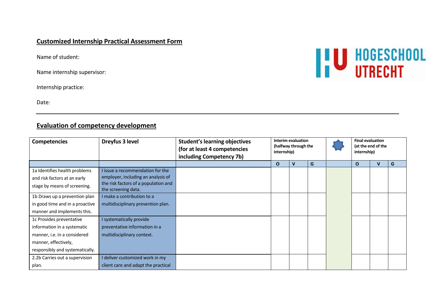## **Customized Internship Practical Assessment Form**

Name of student:

Name internship supervisor:

Internship practice:

Date:

## **Evaluation of competency development**

| <b>Competencies</b>             | Dreyfus 3 level                                             | <b>Student's learning objectives</b><br>(for at least 4 competencies<br>including Competency 7b) | <b>Interim evaluation</b><br>(halfway through the<br>internship) |   |   | <b>Final evaluation</b><br>(at the end of the<br>internship) |  |   |
|---------------------------------|-------------------------------------------------------------|--------------------------------------------------------------------------------------------------|------------------------------------------------------------------|---|---|--------------------------------------------------------------|--|---|
|                                 |                                                             |                                                                                                  | $\Omega$                                                         | v | G | O                                                            |  | G |
| 1a Identifies health problems   | I issue a recommendation for the                            |                                                                                                  |                                                                  |   |   |                                                              |  |   |
| and risk factors at an early    | employer, including an analysis of                          |                                                                                                  |                                                                  |   |   |                                                              |  |   |
| stage by means of screening.    | the risk factors of a population and<br>the screening data. |                                                                                                  |                                                                  |   |   |                                                              |  |   |
| 1b Draws up a prevention plan   | I make a contribution to a                                  |                                                                                                  |                                                                  |   |   |                                                              |  |   |
| in good time and in a proactive | multidisciplinary prevention plan.                          |                                                                                                  |                                                                  |   |   |                                                              |  |   |
| manner and implements this.     |                                                             |                                                                                                  |                                                                  |   |   |                                                              |  |   |
| 1c Provides preventative        | I systematically provide                                    |                                                                                                  |                                                                  |   |   |                                                              |  |   |
| information in a systematic     | preventative information in a                               |                                                                                                  |                                                                  |   |   |                                                              |  |   |
| manner, i.e. in a considered    | multidisciplinary context.                                  |                                                                                                  |                                                                  |   |   |                                                              |  |   |
| manner, effectively,            |                                                             |                                                                                                  |                                                                  |   |   |                                                              |  |   |
| responsibly and systematically. |                                                             |                                                                                                  |                                                                  |   |   |                                                              |  |   |
| 2.2b Carries out a supervision  | I deliver customized work in my                             |                                                                                                  |                                                                  |   |   |                                                              |  |   |
| plan.                           | client care and adapt the practical                         |                                                                                                  |                                                                  |   |   |                                                              |  |   |

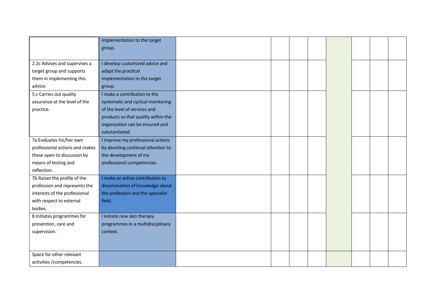|                                | implementation to the target        |  |  |  |  |
|--------------------------------|-------------------------------------|--|--|--|--|
|                                | group.                              |  |  |  |  |
|                                |                                     |  |  |  |  |
| 2.2c Advises and supervises a  | I develop customized advice and     |  |  |  |  |
| target group and supports      | adapt the practical                 |  |  |  |  |
| them in implementing this      | implementation to the target        |  |  |  |  |
| advice.                        | group.                              |  |  |  |  |
| 5.c Carries out quality        | I make a contribution to the        |  |  |  |  |
| assurance at the level of the  | systematic and cyclical monitoring  |  |  |  |  |
| practice.                      | of the level of services and        |  |  |  |  |
|                                | products so that quality within the |  |  |  |  |
|                                | organization can be ensured and     |  |  |  |  |
|                                | substantiated.                      |  |  |  |  |
| 7a Evaluates his/her own       | I improve my professional actions   |  |  |  |  |
| professional actions and makes | by devoting continual attention to  |  |  |  |  |
| these open to discussion by    | the development of my               |  |  |  |  |
| means of testing and           | professional competencies.          |  |  |  |  |
| reflection.                    |                                     |  |  |  |  |
| 7b Raises the profile of the   | I make an active contribution to    |  |  |  |  |
| profession and represents the  | dissemination of knowledge about    |  |  |  |  |
| interests of the professional  | the profession and the specialist   |  |  |  |  |
| with respect to external       | field.                              |  |  |  |  |
| bodies.                        |                                     |  |  |  |  |
| 8 Initiates programmes for     | I initiate new skin therapy         |  |  |  |  |
| prevention, care and           | programmes in a multidisciplinary   |  |  |  |  |
| supervision.                   | context.                            |  |  |  |  |
|                                |                                     |  |  |  |  |
|                                |                                     |  |  |  |  |
| Space for other relevant       |                                     |  |  |  |  |
| activities /competencies.      |                                     |  |  |  |  |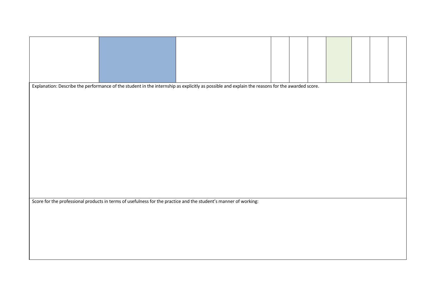|  | Explanation: Describe the performance of the student in the internship as explicitly as possible and explain the reasons for the awarded score. |  |  |  |  |
|--|-------------------------------------------------------------------------------------------------------------------------------------------------|--|--|--|--|
|  |                                                                                                                                                 |  |  |  |  |
|  |                                                                                                                                                 |  |  |  |  |
|  |                                                                                                                                                 |  |  |  |  |
|  |                                                                                                                                                 |  |  |  |  |
|  |                                                                                                                                                 |  |  |  |  |
|  |                                                                                                                                                 |  |  |  |  |
|  |                                                                                                                                                 |  |  |  |  |
|  | Score for the professional products in terms of usefulness for the practice and the student's manner of working:                                |  |  |  |  |
|  |                                                                                                                                                 |  |  |  |  |
|  |                                                                                                                                                 |  |  |  |  |
|  |                                                                                                                                                 |  |  |  |  |
|  |                                                                                                                                                 |  |  |  |  |
|  |                                                                                                                                                 |  |  |  |  |